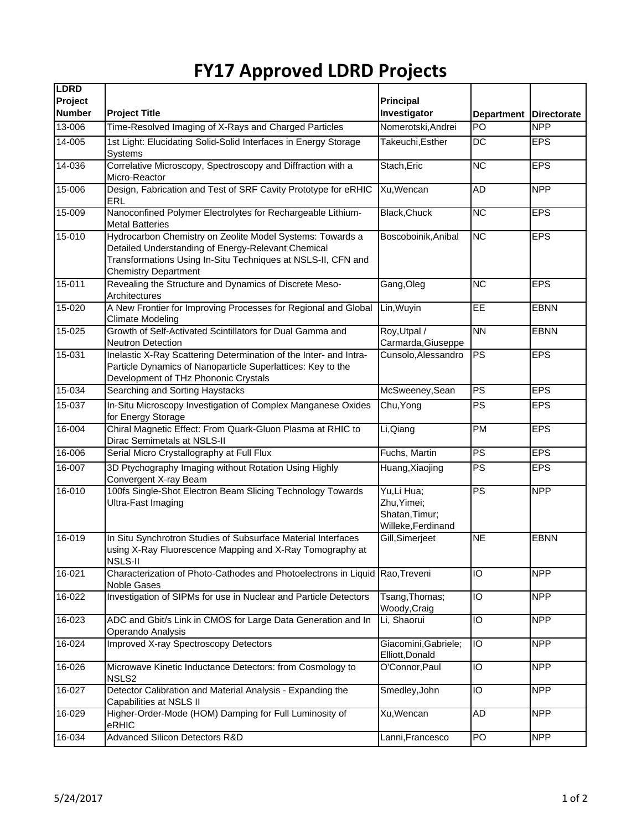## **FY17 Approved LDRD Projects**

| <b>LDRD</b><br>Project<br><b>Number</b> |                                                                                                                                                                                                                | <b>Principal</b>                                                  |                         |                                  |
|-----------------------------------------|----------------------------------------------------------------------------------------------------------------------------------------------------------------------------------------------------------------|-------------------------------------------------------------------|-------------------------|----------------------------------|
| 13-006                                  | <b>Project Title</b><br>Time-Resolved Imaging of X-Rays and Charged Particles                                                                                                                                  | Investigator<br>Nomerotski, Andrei                                | <b>Department</b><br>PO | <b>Directorate</b><br><b>NPP</b> |
| $14 - 005$                              |                                                                                                                                                                                                                |                                                                   |                         |                                  |
|                                         | 1st Light: Elucidating Solid-Solid Interfaces in Energy Storage<br>Systems                                                                                                                                     | Takeuchi, Esther                                                  | DC                      | <b>EPS</b>                       |
| 14-036                                  | Correlative Microscopy, Spectroscopy and Diffraction with a<br>Micro-Reactor                                                                                                                                   | Stach, Eric                                                       | $\overline{\text{NC}}$  | <b>EPS</b>                       |
| 15-006                                  | Design, Fabrication and Test of SRF Cavity Prototype for eRHIC<br>ERL                                                                                                                                          | Xu, Wencan                                                        | AD                      | <b>NPP</b>                       |
| 15-009                                  | Nanoconfined Polymer Electrolytes for Rechargeable Lithium-<br><b>Metal Batteries</b>                                                                                                                          | <b>Black, Chuck</b>                                               | $\overline{NC}$         | <b>EPS</b>                       |
| 15-010                                  | Hydrocarbon Chemistry on Zeolite Model Systems: Towards a<br>Detailed Understanding of Energy-Relevant Chemical<br>Transformations Using In-Situ Techniques at NSLS-II, CFN and<br><b>Chemistry Department</b> | Boscoboinik, Anibal                                               | <b>NC</b>               | <b>EPS</b>                       |
| $15 - 011$                              | Revealing the Structure and Dynamics of Discrete Meso-<br>Architectures                                                                                                                                        | Gang, Oleg                                                        | NC                      | <b>EPS</b>                       |
| 15-020                                  | A New Frontier for Improving Processes for Regional and Global<br>Climate Modeling                                                                                                                             | Lin, Wuyin                                                        | EE                      | <b>EBNN</b>                      |
| 15-025                                  | Growth of Self-Activated Scintillators for Dual Gamma and<br><b>Neutron Detection</b>                                                                                                                          | Roy, Utpal /<br>Carmarda, Giuseppe                                | <b>NN</b>               | <b>EBNN</b>                      |
| 15-031                                  | Inelastic X-Ray Scattering Determination of the Inter- and Intra-<br>Particle Dynamics of Nanoparticle Superlattices: Key to the<br>Development of THz Phononic Crystals                                       | Cunsolo, Alessandro                                               | <b>PS</b>               | <b>EPS</b>                       |
| 15-034                                  | Searching and Sorting Haystacks                                                                                                                                                                                | McSweeney, Sean                                                   | $\overline{PS}$         | <b>EPS</b>                       |
| 15-037                                  | In-Situ Microscopy Investigation of Complex Manganese Oxides<br>for Energy Storage                                                                                                                             | Chu, Yong                                                         | PS                      | <b>EPS</b>                       |
| 16-004                                  | Chiral Magnetic Effect: From Quark-Gluon Plasma at RHIC to<br>Dirac Semimetals at NSLS-II                                                                                                                      | Li, Qiang                                                         | PM                      | <b>EPS</b>                       |
| 16-006                                  | Serial Micro Crystallography at Full Flux                                                                                                                                                                      | Fuchs, Martin                                                     | PS                      | <b>EPS</b>                       |
| 16-007                                  | 3D Ptychography Imaging without Rotation Using Highly<br>Convergent X-ray Beam                                                                                                                                 | Huang, Xiaojing                                                   | PS                      | <b>EPS</b>                       |
| 16-010                                  | 100fs Single-Shot Electron Beam Slicing Technology Towards<br>Ultra-Fast Imaging                                                                                                                               | Yu,Li Hua;<br>Zhu, Yimei;<br>Shatan, Timur;<br>Willeke, Ferdinand | $\overline{PS}$         | <b>NPP</b>                       |
| 16-019                                  | In Situ Synchrotron Studies of Subsurface Material Interfaces<br>using X-Ray Fluorescence Mapping and X-Ray Tomography at<br><b>NSLS-II</b>                                                                    | Gill, Simerjeet                                                   | <b>NE</b>               | <b>EBNN</b>                      |
| $16 - 021$                              | Characterization of Photo-Cathodes and Photoelectrons in Liquid Rao, Treveni<br>Noble Gases                                                                                                                    |                                                                   | IO                      | <b>NPP</b>                       |
| 16-022                                  | Investigation of SIPMs for use in Nuclear and Particle Detectors                                                                                                                                               | Tsang, Thomas;<br>Woody, Craig                                    | IO                      | <b>NPP</b>                       |
| 16-023                                  | ADC and Gbit/s Link in CMOS for Large Data Generation and In<br>Operando Analysis                                                                                                                              | Li, Shaorui                                                       | IO                      | <b>NPP</b>                       |
| 16-024                                  | <b>Improved X-ray Spectroscopy Detectors</b>                                                                                                                                                                   | Giacomini, Gabriele;<br>Elliott, Donald                           | $\overline{10}$         | <b>NPP</b>                       |
| 16-026                                  | Microwave Kinetic Inductance Detectors: from Cosmology to<br>NSLS <sub>2</sub>                                                                                                                                 | O'Connor, Paul                                                    | IO                      | <b>NPP</b>                       |
| 16-027                                  | Detector Calibration and Material Analysis - Expanding the<br>Capabilities at NSLS II                                                                                                                          | Smedley, John                                                     | $\overline{0}$          | <b>NPP</b>                       |
| 16-029                                  | Higher-Order-Mode (HOM) Damping for Full Luminosity of<br>eRHIC                                                                                                                                                | Xu, Wencan                                                        | AD                      | <b>NPP</b>                       |
| 16-034                                  | <b>Advanced Silicon Detectors R&amp;D</b>                                                                                                                                                                      | Lanni, Francesco                                                  | PO                      | <b>NPP</b>                       |